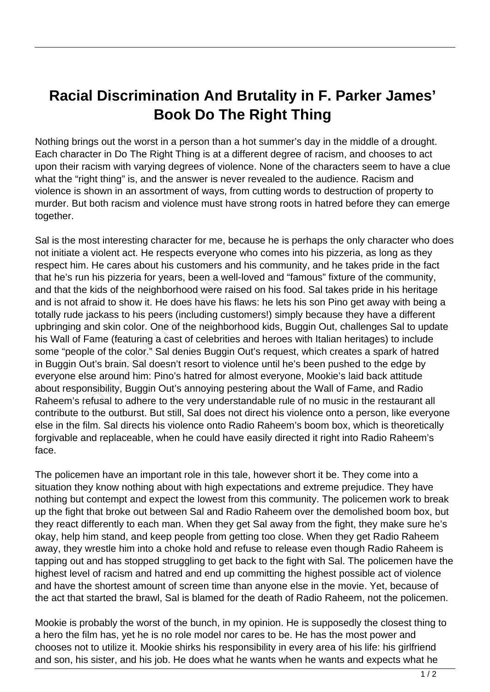## **Racial Discrimination And Brutality in F. Parker James' Book Do The Right Thing**

Nothing brings out the worst in a person than a hot summer's day in the middle of a drought. Each character in Do The Right Thing is at a different degree of racism, and chooses to act upon their racism with varying degrees of violence. None of the characters seem to have a clue what the "right thing" is, and the answer is never revealed to the audience. Racism and violence is shown in an assortment of ways, from cutting words to destruction of property to murder. But both racism and violence must have strong roots in hatred before they can emerge together.

Sal is the most interesting character for me, because he is perhaps the only character who does not initiate a violent act. He respects everyone who comes into his pizzeria, as long as they respect him. He cares about his customers and his community, and he takes pride in the fact that he's run his pizzeria for years, been a well-loved and "famous" fixture of the community, and that the kids of the neighborhood were raised on his food. Sal takes pride in his heritage and is not afraid to show it. He does have his flaws: he lets his son Pino get away with being a totally rude jackass to his peers (including customers!) simply because they have a different upbringing and skin color. One of the neighborhood kids, Buggin Out, challenges Sal to update his Wall of Fame (featuring a cast of celebrities and heroes with Italian heritages) to include some "people of the color." Sal denies Buggin Out's request, which creates a spark of hatred in Buggin Out's brain. Sal doesn't resort to violence until he's been pushed to the edge by everyone else around him: Pino's hatred for almost everyone, Mookie's laid back attitude about responsibility, Buggin Out's annoying pestering about the Wall of Fame, and Radio Raheem's refusal to adhere to the very understandable rule of no music in the restaurant all contribute to the outburst. But still, Sal does not direct his violence onto a person, like everyone else in the film. Sal directs his violence onto Radio Raheem's boom box, which is theoretically forgivable and replaceable, when he could have easily directed it right into Radio Raheem's face. un his pizzeria for years, been a w<br>le kids of the neighborhood were r<br>afraid to show it. He does have his<br>e jackass to his peers (including cu<br>and skin color. One of the neighb<br>Fame (featuring a cast of celebrit<br>ple of th

The policemen have an important role in this tale, however short it be. They come into a situation they know nothing about with high expectations and extreme prejudice. They have nothing but contempt and expect the lowest from this community. The policemen work to break up the fight that broke out between Sal and Radio Raheem over the demolished boom box, but they react differently to each man. When they get Sal away from the fight, they make sure he's okay, help him stand, and keep people from getting too close. When they get Radio Raheem away, they wrestle him into a choke hold and refuse to release even though Radio Raheem is tapping out and has stopped struggling to get back to the fight with Sal. The policemen have the highest level of racism and hatred and end up committing the highest possible act of violence and have the shortest amount of screen time than anyone else in the movie. Yet, because of the act that started the brawl, Sal is blamed for the death of Radio Raheem, not the policemen.

Mookie is probably the worst of the bunch, in my opinion. He is supposedly the closest thing to a hero the film has, yet he is no role model nor cares to be. He has the most power and chooses not to utilize it. Mookie shirks his responsibility in every area of his life: his girlfriend and son, his sister, and his job. He does what he wants when he wants and expects what he